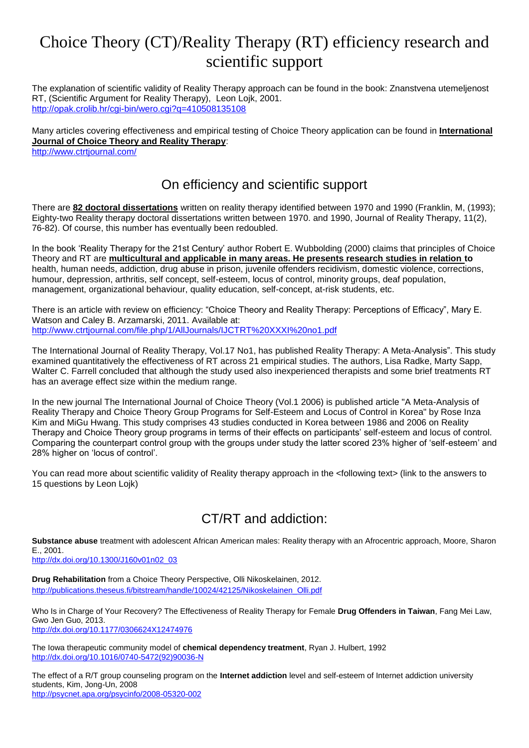# Choice Theory (CT)/Reality Therapy (RT) efficiency research and scientific support

The explanation of scientific validity of Reality Therapy approach can be found in the book: Znanstvena utemeljenost RT, (Scientific Argument for Reality Therapy), Leon Lojk, 2001. <http://opak.crolib.hr/cgi-bin/wero.cgi?q=410508135108>

Many articles covering effectiveness and empirical testing of Choice Theory application can be found in **International Journal of Choice Theory and Reality Therapy**: <http://www.ctrtjournal.com/>

#### On efficiency and scientific support

There are **82 doctoral dissertations** written on reality therapy identified between 1970 and 1990 (Franklin, M, (1993); Eighty-two Reality therapy doctoral dissertations written between 1970. and 1990, Journal of Reality Therapy, 11(2), 76-82). Of course, this number has eventually been redoubled.

In the book 'Reality Therapy for the 21st Century' author Robert E. Wubbolding (2000) claims that principles of Choice Theory and RT are **multicultural and applicable in many areas. He presents research studies in relation to** health, human needs, addiction, drug abuse in prison, juvenile offenders recidivism, domestic violence, corrections, humour, depression, arthritis, self concept, self-esteem, locus of control, minority groups, deaf population, management, organizational behaviour, quality education, self-concept, at-risk students, etc.

There is an article with review on efficiency: "Choice Theory and Reality Therapy: Perceptions of Efficacy", Mary E. Watson and Caley B. Arzamarski, 2011. Available at: <http://www.ctrtjournal.com/file.php/1/AllJournals/IJCTRT%20XXXI%20no1.pdf>

The International Journal of Reality Therapy, Vol.17 No1, has published Reality Therapy: A Meta-Analysis". This study examined quantitatively the effectiveness of RT across 21 empirical studies. The authors, Lisa Radke, Marty Sapp, Walter C. Farrell concluded that although the study used also inexperienced therapists and some brief treatments RT has an average effect size within the medium range.

In the new journal The International Journal of Choice Theory (Vol.1 2006) is published article "A Meta-Analysis of Reality Therapy and Choice Theory Group Programs for Self-Esteem and Locus of Control in Korea" by Rose Inza Kim and MiGu Hwang. This study comprises 43 studies conducted in Korea between 1986 and 2006 on Reality Therapy and Choice Theory group programs in terms of their effects on participants' self-esteem and locus of control. Comparing the counterpart control group with the groups under study the latter scored 23% higher of 'self-esteem' and 28% higher on 'locus of control'.

You can read more about scientific validity of Reality therapy approach in the <following text> (link to the answers to 15 questions by Leon Lojk)

## CT/RT and addiction:

**Substance abuse** treatment with adolescent African American males: Reality therapy with an Afrocentric approach, Moore, Sharon E., 2001.

[http://dx.doi.org/10.1300/J160v01n02\\_03](http://dx.doi.org/10.1300/J160v01n02_03)

**Drug Rehabilitation** from a Choice Theory Perspective, Olli Nikoskelainen, 2012. [http://publications.theseus.fi/bitstream/handle/10024/42125/Nikoskelainen\\_Olli.pdf](http://publications.theseus.fi/bitstream/handle/10024/42125/Nikoskelainen_Olli.pdf)

Who Is in Charge of Your Recovery? The Effectiveness of Reality Therapy for Female **Drug Offenders in Taiwan**, Fang Mei Law, Gwo Jen Guo, 2013. <http://dx.doi.org/10.1177/0306624X12474976>

The Iowa therapeutic community model of **chemical dependency treatment**, Ryan J. Hulbert, 1992 [http://dx.doi.org/10.1016/0740-5472\(92\)90036-N](http://dx.doi.org/10.1016/0740-5472(92)90036-N)

The effect of a R/T group counseling program on the **Internet addiction** level and self-esteem of Internet addiction university students, Kim, Jong-Un, 2008 <http://psycnet.apa.org/psycinfo/2008-05320-002>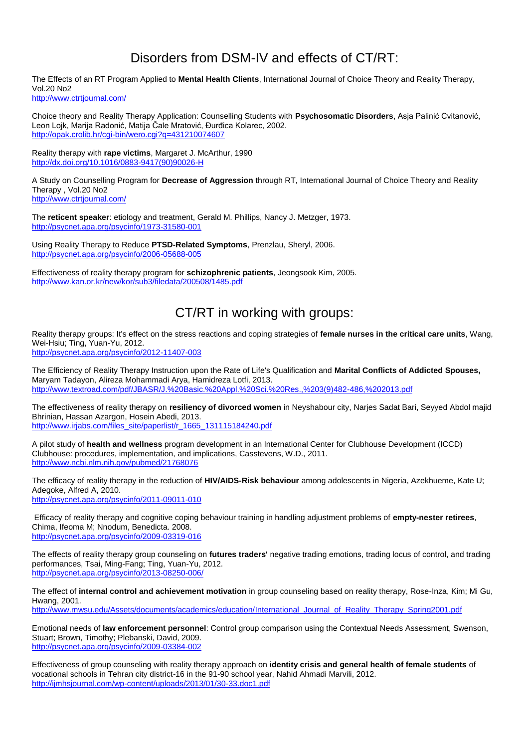## Disorders from DSM-IV and effects of CT/RT:

The Effects of an RT Program Applied to **Mental Health Clients**, International Journal of Choice Theory and Reality Therapy, Vol.20 No2

<http://www.ctrtjournal.com/>

Choice theory and Reality Therapy Application: Counselling Students with **Psychosomatic Disorders**, Asja Palinić Cvitanović, Leon Lojk, Marija Radonić, Matija Čale Mratović, Đurđica Kolarec, 2002. <http://opak.crolib.hr/cgi-bin/wero.cgi?q=431210074607>

Reality therapy with **rape victims**, Margaret J. McArthur, 1990 [http://dx.doi.org/10.1016/0883-9417\(90\)90026-H](http://dx.doi.org/10.1016/0883-9417(90)90026-H)

A Study on Counselling Program for **Decrease of Aggression** through RT, International Journal of Choice Theory and Reality Therapy , Vol.20 No2 <http://www.ctrtjournal.com/>

The **reticent speaker**: etiology and treatment, Gerald M. Phillips, Nancy J. Metzger, 1973. <http://psycnet.apa.org/psycinfo/1973-31580-001>

Using Reality Therapy to Reduce **PTSD-Related Symptoms**, Prenzlau, Sheryl, 2006. <http://psycnet.apa.org/psycinfo/2006-05688-005>

Effectiveness of reality therapy program for **schizophrenic patients**, Jeongsook Kim, 2005. <http://www.kan.or.kr/new/kor/sub3/filedata/200508/1485.pdf>

### CT/RT in working with groups:

Reality therapy groups: It's effect on the stress reactions and coping strategies of **female nurses in the critical care units**, Wang, Wei-Hsiu; Ting, Yuan-Yu, 2012.

<http://psycnet.apa.org/psycinfo/2012-11407-003>

The Efficiency of Reality Therapy Instruction upon the Rate of Life's Qualification and **Marital Conflicts of Addicted Spouses,**  Maryam Tadayon, Alireza Mohammadi Arya, Hamidreza Lotfi, 2013. [http://www.textroad.com/pdf/JBASR/J.%20Basic.%20Appl.%20Sci.%20Res.,%203\(9\)482-486,%202013.pdf](http://www.textroad.com/pdf/JBASR/J.%20Basic.%20Appl.%20Sci.%20Res.,%203(9)482-486,%202013.pdf)

The effectiveness of reality therapy on **resiliency of divorced women** in Neyshabour city, Narjes Sadat Bari, Seyyed Abdol majid Bhrinian, Hassan Azargon, Hosein Abedi, 2013. [http://www.irjabs.com/files\\_site/paperlist/r\\_1665\\_131115184240.pdf](http://www.irjabs.com/files_site/paperlist/r_1665_131115184240.pdf)

A pilot study of **health and wellness** program development in an International Center for Clubhouse Development (ICCD) Clubhouse: procedures, implementation, and implications, Casstevens, W.D., 2011. <http://www.ncbi.nlm.nih.gov/pubmed/21768076>

The efficacy of reality therapy in the reduction of **HIV/AIDS-Risk behaviour** among adolescents in Nigeria, Azekhueme, Kate U; Adegoke, Alfred A, 2010. <http://psycnet.apa.org/psycinfo/2011-09011-010>

Efficacy of reality therapy and cognitive coping behaviour training in handling adjustment problems of **empty-nester retirees**, Chima, Ifeoma M; Nnodum, Benedicta. 2008. <http://psycnet.apa.org/psycinfo/2009-03319-016>

The effects of reality therapy group counseling on **futures traders'** negative trading emotions, trading locus of control, and trading performances, Tsai, Ming-Fang; Ting, Yuan-Yu, 2012. <http://psycnet.apa.org/psycinfo/2013-08250-006/>

The effect of **internal control and achievement motivation** in group counseling based on reality therapy, Rose-Inza, Kim; Mi Gu, Hwang, 200[1.](http://education.mwsu.edu/pdf/International_Journal_of_Reality_Therapy_Spring2001.pdf)

[http://www.mwsu.edu/Assets/documents/academics/education/International\\_Journal\\_of\\_Reality\\_Therapy\\_Spring2001.pdf](http://education.mwsu.edu/pdf/International_Journal_of_Reality_Therapy_Spring2001.pdf)

Emotional needs of **law enforcement personnel**: Control group comparison using the Contextual Needs Assessment, Swenson, Stuart; Brown, Timothy; Plebanski, David, 2009. <http://psycnet.apa.org/psycinfo/2009-03384-002>

Effectiveness of group counseling with reality therapy approach on **identity crisis and general health of female students** of vocational schools in Tehran city district-16 in the 91-90 school year, Nahid Ahmadi Marvili, 2012. <http://ijmhsjournal.com/wp-content/uploads/2013/01/30-33.doc1.pdf>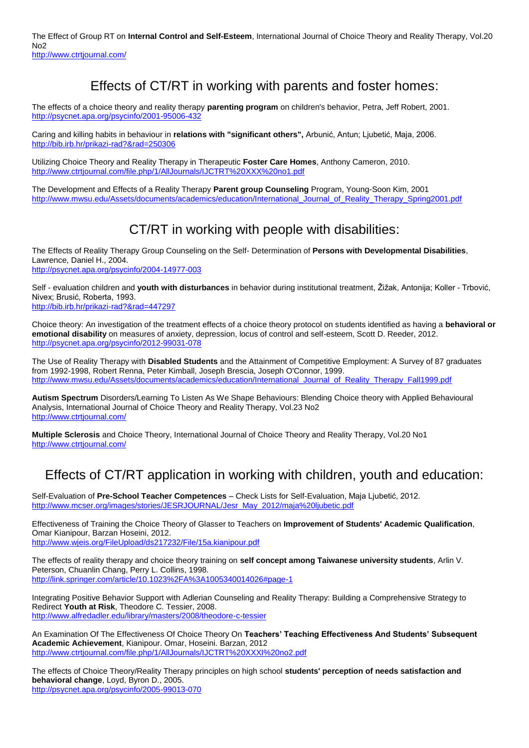The Effect of Group RT on **Internal Control and Self-Esteem**, International Journal of Choice Theory and Reality Therapy, Vol.20 No2 <http://www.ctrtjournal.com/>

### Effects of CT/RT in working with parents and foster homes:

The effects of a choice theory and reality therapy **parenting program** on children's behavior, Petra, Jeff Robert, 2001. <http://psycnet.apa.org/psycinfo/2001-95006-432>

Caring and killing habits in behaviour in **relations with "significant others",** Arbunić, Antun; Ljubetić, Maja, 2006. <http://bib.irb.hr/prikazi-rad?&rad=250306>

Utilizing Choice Theory and Reality Therapy in Therapeutic **Foster Care Homes**, Anthony Cameron, 2010. <http://www.ctrtjournal.com/file.php/1/AllJournals/IJCTRT%20XXX%20no1.pdf>

The Development and Effects of a Reality Therapy **Parent group Counseling** Program, Young-Soon Kim, 200[1](http://www.mwsu.edu/Assets/documents/academics/education/International_Journal_of_Reality_Therapy_Spring2001.pdf) [http://www.mwsu.edu/Assets/documents/academics/education/International\\_Journal\\_of\\_Reality\\_Therapy\\_Spring2001.pdf](http://www.mwsu.edu/Assets/documents/academics/education/International_Journal_of_Reality_Therapy_Spring2001.pdf)

### CT/RT in working with people with disabilities:

The Effects of Reality Therapy Group Counseling on the Self- Determination of **Persons with Developmental Disabilities**, Lawrence, Daniel H., 2004. <http://psycnet.apa.org/psycinfo/2004-14977-003>

Self - evaluation children and **youth with disturbances** in behavior during institutional treatment, Žižak, Antonija; Koller - Trbović, Nivex; Brusić, Roberta, 1993. <http://bib.irb.hr/prikazi-rad?&rad=447297>

Choice theory: An investigation of the treatment effects of a choice theory protocol on students identified as having a **behavioral or emotional disability** on measures of anxiety, depression, locus of control and self-esteem, Scott D. Reeder, 2012. <http://psycnet.apa.org/psycinfo/2012-99031-078>

The Use of Reality Therapy with **Disabled Students** and the Attainment of Competitive Employment: A Survey of 87 graduates from 1992-1998, Robert Renna, Peter Kimball, Joseph Brescia, Joseph O'Connor, 1999. [http://www.mwsu.edu/Assets/documents/academics/education/International\\_Journal\\_of\\_Reality\\_Therapy\\_Fall1999.pdf](http://www.mwsu.edu/Assets/documents/academics/education/International_Journal_of_Reality_Therapy_Fall1999.pdf)

**Autism Spectrum** Disorders/Learning To Listen As We Shape Behaviours: Blending Choice theory with Applied Behavioural Analysis, International Journal of Choice Theory and Reality Therapy, Vol.23 No2 <http://www.ctrtjournal.com/>

**Multiple Sclerosis** and Choice Theory, International Journal of Choice Theory and Reality Therapy, Vol.20 No1 <http://www.ctrtjournal.com/>

## Effects of CT/RT application in working with children, youth and education:

Self-Evaluation of **Pre-School Teacher Competences** – Check Lists for Self-Evaluation, Maja Ljubetić, 2012. [http://www.mcser.org/images/stories/JESRJOURNAL/Jesr\\_May\\_2012/maja%20ljubetic.pdf](http://www.mcser.org/images/stories/JESRJOURNAL/Jesr_May_2012/maja%20ljubetic.pdf)

Effectiveness of Training the Choice Theory of Glasser to Teachers on **Improvement of Students' Academic Qualification**, Omar Kianipour, Barzan Hoseini, 2012. <http://www.wjeis.org/FileUpload/ds217232/File/15a.kianipour.pdf>

The effects of reality therapy and choice theory training on **self concept among Taiwanese university students**, Arlin V. Peterson, Chuanlin Chang, Perry L. Collins, 1998. <http://link.springer.com/article/10.1023%2FA%3A1005340014026#page-1>

Integrating Positive Behavior Support with Adlerian Counseling and Reality Therapy: Building a Comprehensive Strategy to Redirect **Youth at Risk**, Theodore C. Tessier, 2008. <http://www.alfredadler.edu/library/masters/2008/theodore-c-tessier>

An Examination Of The Effectiveness Of Choice Theory On **Teachers' Teaching Effectiveness And Students' Subsequent Academic Achievement**, Kianipour. Omar, Hoseini. Barzan, 2012 <http://www.ctrtjournal.com/file.php/1/AllJournals/IJCTRT%20XXXI%20no2.pdf>

The effects of Choice Theory/Reality Therapy principles on high school **students' perception of needs satisfaction and behavioral change**, Loyd, Byron D., 2005. <http://psycnet.apa.org/psycinfo/2005-99013-070>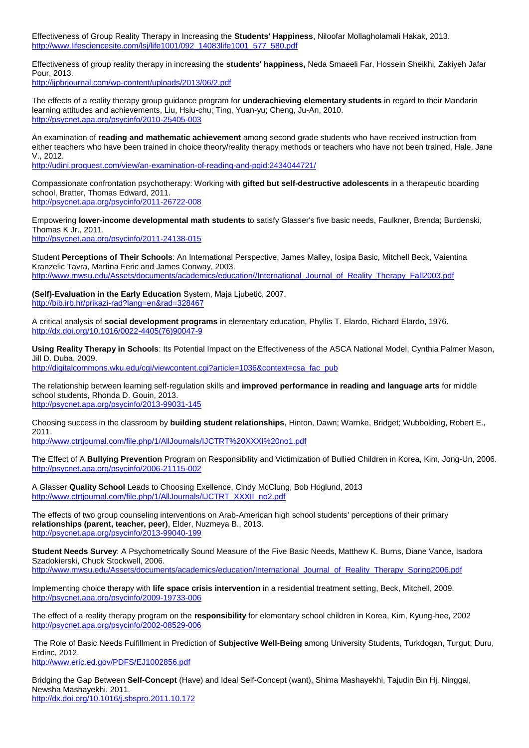Effectiveness of Group Reality Therapy in Increasing the **Students' Happiness**, Niloofar Mollagholamali Hakak, 2013. [http://www.lifesciencesite.com/lsj/life1001/092\\_14083life1001\\_577\\_580.pdf](http://www.lifesciencesite.com/lsj/life1001/092_14083life1001_577_580.pdf)

Effectiveness of group reality therapy in increasing the **students' happiness,** Neda Smaeeli Far, Hossein Sheikhi, Zakiyeh Jafar Pour, 2013.

<http://ijpbrjournal.com/wp-content/uploads/2013/06/2.pdf>

The effects of a reality therapy group guidance program for **underachieving elementary students** in regard to their Mandarin learning attitudes and achievements, Liu, Hsiu-chu; Ting, Yuan-yu; Cheng, Ju-An, 2010. <http://psycnet.apa.org/psycinfo/2010-25405-003>

An examination of **reading and mathematic achievement** among second grade students who have received instruction from either teachers who have been trained in choice theory/reality therapy methods or teachers who have not been trained, Hale, Jane V., 2012.

<http://udini.proquest.com/view/an-examination-of-reading-and-pqid:2434044721/>

Compassionate confrontation psychotherapy: Working with **gifted but self-destructive adolescents** in a therapeutic boarding school, Bratter, Thomas Edward, 2011. <http://psycnet.apa.org/psycinfo/2011-26722-008>

Empowering **lower-income developmental math students** to satisfy Glasser's five basic needs, Faulkner, Brenda; Burdenski, Thomas K Jr., 2011.

<http://psycnet.apa.org/psycinfo/2011-24138-015>

Student **Perceptions of Their Schools**: An International Perspective, James Malley, Iosipa Basic, Mitchell Beck, Vaientina Kranzelic Tavra, Martina Feric and James Conway, 2003. [http://www.mwsu.edu/Assets/documents/academics/education//International\\_Journal\\_of\\_Reality\\_Therapy\\_Fall2003.pdf](http://education.mwsu.edu/pdf/International_Journal_of_Reality_Therapy_Fall2003.pdf)

**(Self)-Evaluation in the Early Education** System, Maja Ljubetić, 2007. <http://bib.irb.hr/prikazi-rad?lang=en&rad=328467>

A critical analysis of **social development programs** in elementary education, Phyllis T. Elardo, Richard Elardo, 1976. [http://dx.doi.org/10.1016/0022-4405\(76\)90047-9](http://dx.doi.org/10.1016/0022-4405(76)90047-9)

**Using Reality Therapy in Schools**: Its Potential Impact on the Effectiveness of the ASCA National Model, Cynthia Palmer Mason, Jill D. Duba, 2009.

[http://digitalcommons.wku.edu/cgi/viewcontent.cgi?article=1036&context=csa\\_fac\\_pub](http://digitalcommons.wku.edu/cgi/viewcontent.cgi?article=1036&context=csa_fac_pub)

The relationship between learning self-regulation skills and **improved performance in reading and language arts** for middle school students, Rhonda D. Gouin, 2013. <http://psycnet.apa.org/psycinfo/2013-99031-145>

Choosing success in the classroom by **building student relationships**, Hinton, Dawn; Warnke, Bridget; Wubbolding, Robert E., 2011.

<http://www.ctrtjournal.com/file.php/1/AllJournals/IJCTRT%20XXXI%20no1.pdf>

The Effect of A **Bullying Prevention** Program on Responsibility and Victimization of Bullied Children in Korea, Kim, Jong-Un, 2006. <http://psycnet.apa.org/psycinfo/2006-21115-002>

A Glasser **Quality School** Leads to Choosing Exellence, Cindy McClung, Bob Hoglund, 2013 [http://www.ctrtjournal.com/file.php/1/AllJournals/IJCTRT\\_XXXII\\_no2.pdf](http://www.ctrtjournal.com/file.php/1/AllJournals/IJCTRT_XXXII_no2.pdf)

The effects of two group counseling interventions on Arab-American high school students' perceptions of their primary **relationships (parent, teacher, peer)**, Elder, Nuzmeya B., 2013. <http://psycnet.apa.org/psycinfo/2013-99040-199>

**Student Needs Survey**: A Psychometrically Sound Measure of the Five Basic Needs, Matthew K. Burns, Diane Vance, Isadora Szadokierski, Chuck Stockwell, 2006.

[http://www.mwsu.edu/Assets/documents/academics/education/International\\_Journal\\_of\\_Reality\\_Therapy\\_Spring2006.pdf](http://www.mwsu.edu/Assets/documents/academics/education/International_Journal_of_Reality_Therapy_Spring2006.pdf)

Implementing choice therapy with **life space crisis intervention** in a residential treatment setting, Beck, Mitchell, 2009. <http://psycnet.apa.org/psycinfo/2009-19733-006>

The effect of a reality therapy program on the **responsibility** for elementary school children in Korea, Kim, Kyung-hee, 2002 <http://psycnet.apa.org/psycinfo/2002-08529-006>

The Role of Basic Needs Fulfillment in Prediction of **Subjective Well-Being** among University Students, Turkdogan, Turgut; Duru, Erdinc, 2012.

<http://www.eric.ed.gov/PDFS/EJ1002856.pdf>

Bridging the Gap Between **Self-Concept** (Have) and Ideal Self-Concept (want), Shima Mashayekhi, Tajudin Bin Hj. Ninggal, Newsha Mashayekhi, 2011. <http://dx.doi.org/10.1016/j.sbspro.2011.10.172>